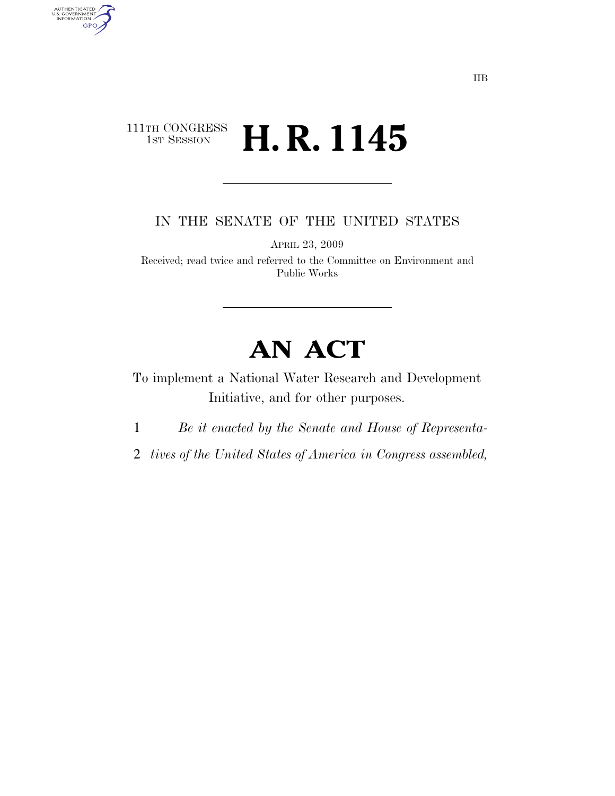### $\begin{array}{c} \textbf{111TH CONGRESS} \\ \textbf{1ST SESION} \end{array}$ **H. R. 1145**

AUTHENTICATED<br>U.S. GOVERNMENT<br>INFORMATION

GPO

IN THE SENATE OF THE UNITED STATES

APRIL 23, 2009

Received; read twice and referred to the Committee on Environment and Public Works

# **AN ACT**

To implement a National Water Research and Development Initiative, and for other purposes.

1 *Be it enacted by the Senate and House of Representa-*

2 *tives of the United States of America in Congress assembled,*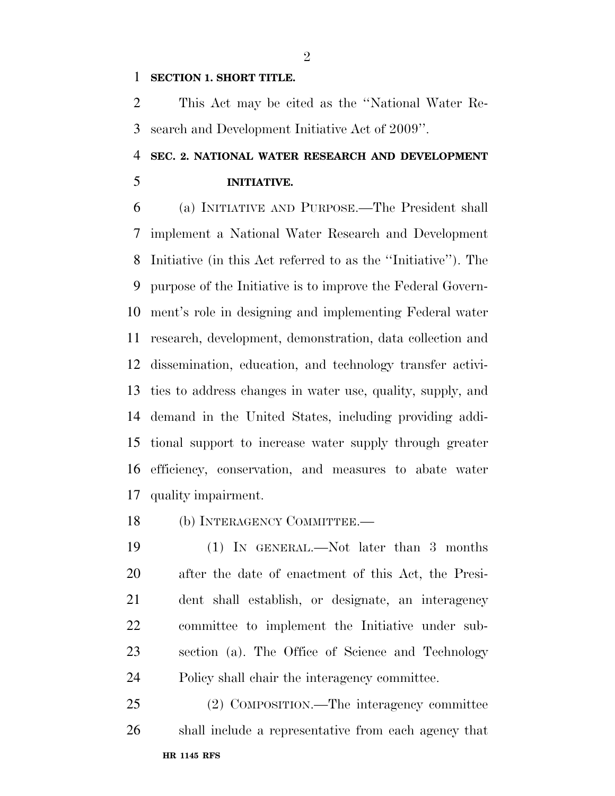#### **SECTION 1. SHORT TITLE.**

 This Act may be cited as the ''National Water Re-search and Development Initiative Act of 2009''.

## **SEC. 2. NATIONAL WATER RESEARCH AND DEVELOPMENT INITIATIVE.**

 (a) INITIATIVE AND PURPOSE.—The President shall implement a National Water Research and Development Initiative (in this Act referred to as the ''Initiative''). The purpose of the Initiative is to improve the Federal Govern- ment's role in designing and implementing Federal water research, development, demonstration, data collection and dissemination, education, and technology transfer activi- ties to address changes in water use, quality, supply, and demand in the United States, including providing addi- tional support to increase water supply through greater efficiency, conservation, and measures to abate water quality impairment.

18 (b) INTERAGENCY COMMITTEE.

 (1) IN GENERAL.—Not later than 3 months after the date of enactment of this Act, the Presi- dent shall establish, or designate, an interagency committee to implement the Initiative under sub- section (a). The Office of Science and Technology Policy shall chair the interagency committee.

**HR 1145 RFS**  (2) COMPOSITION.—The interagency committee shall include a representative from each agency that

 $\mathfrak{D}$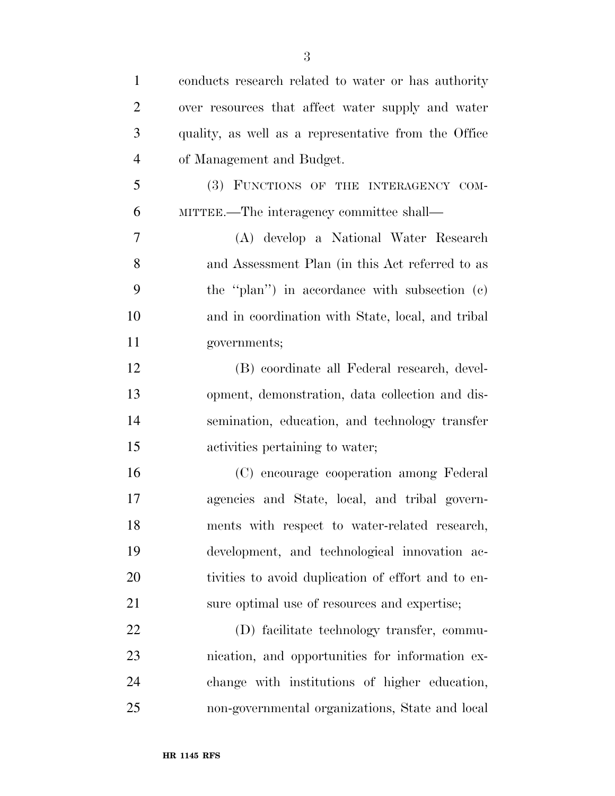| $\mathbf{1}$   | conducts research related to water or has authority  |
|----------------|------------------------------------------------------|
| $\overline{2}$ | over resources that affect water supply and water    |
| 3              | quality, as well as a representative from the Office |
| $\overline{4}$ | of Management and Budget.                            |
| 5              | (3) FUNCTIONS OF THE INTERAGENCY COM-                |
| 6              | MITTEE.—The interagency committee shall—             |
| 7              | (A) develop a National Water Research                |
| 8              | and Assessment Plan (in this Act referred to as      |
| 9              | the "plan") in accordance with subsection (c)        |
| 10             | and in coordination with State, local, and tribal    |
| 11             | governments;                                         |
| 12             | (B) coordinate all Federal research, devel-          |
| 13             | opment, demonstration, data collection and dis-      |
| 14             | semination, education, and technology transfer       |
| 15             | activities pertaining to water;                      |
| 16             | (C) encourage cooperation among Federal              |
| 17             | agencies and State, local, and tribal govern-        |
| 18             | ments with respect to water-related research,        |
| 19             | development, and technological innovation ac-        |
| 20             | tivities to avoid duplication of effort and to en-   |
| 21             | sure optimal use of resources and expertise;         |
| 22             | (D) facilitate technology transfer, commu-           |
| 23             | nication, and opportunities for information ex-      |
| 24             | change with institutions of higher education,        |
| 25             | non-governmental organizations, State and local      |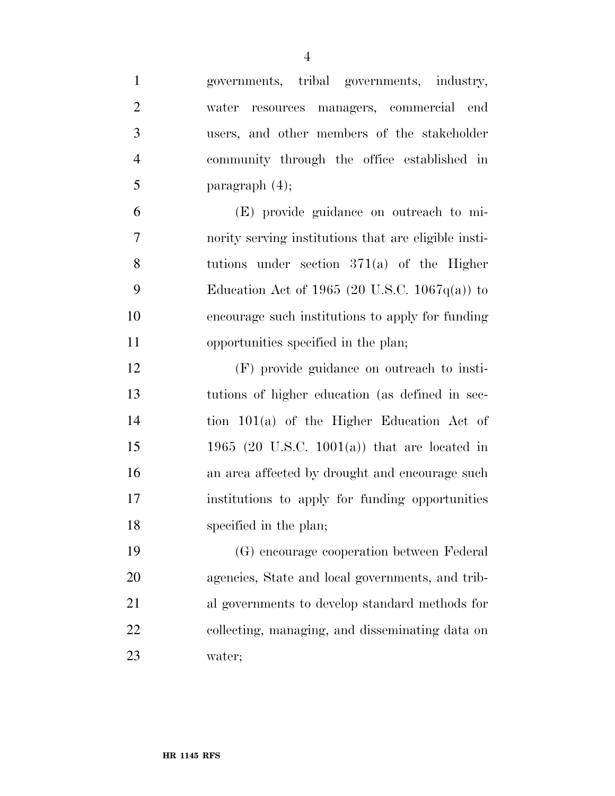| $\mathbf{1}$   | governments, tribal governments, industry,           |
|----------------|------------------------------------------------------|
| $\overline{2}$ | water resources managers, commercial end             |
| 3              | users, and other members of the stakeholder          |
| $\overline{4}$ | community through the office established in          |
| 5              | paragraph $(4)$ ;                                    |
| 6              | (E) provide guidance on outreach to mi-              |
| 7              | nority serving institutions that are eligible insti- |
| 8              | tutions under section $371(a)$ of the Higher         |
| 9              | Education Act of 1965 (20 U.S.C. 1067 $q(a)$ ) to    |
| 10             | encourage such institutions to apply for funding     |
| 11             | opportunities specified in the plan;                 |
| 12             | (F) provide guidance on outreach to insti-           |
| 13             | tutions of higher education (as defined in sec-      |
| 14             | tion 101(a) of the Higher Education Act of           |
| 15             | 1965 (20 U.S.C. 1001(a)) that are located in         |
| 16             | an area affected by drought and encourage such       |
| 17             | institutions to apply for funding opportunities      |
| 18             | specified in the plan;                               |
| 19             | (G) encourage cooperation between Federal            |
| 20             | agencies, State and local governments, and trib-     |
| 21             | al governments to develop standard methods for       |
| 22             | collecting, managing, and disseminating data on      |
| 23             | water;                                               |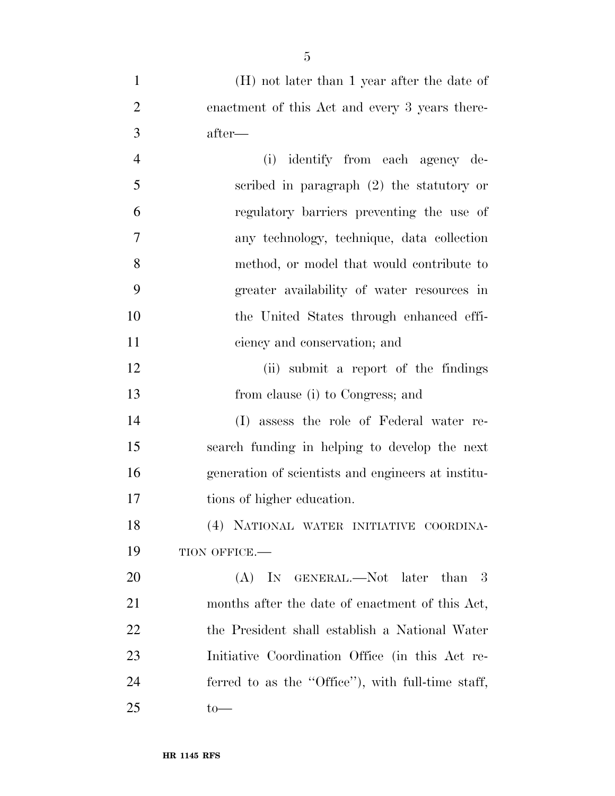| $\mathbf{1}$   | (H) not later than 1 year after the date of        |
|----------------|----------------------------------------------------|
| $\overline{2}$ | enactment of this Act and every 3 years there-     |
| 3              | after—                                             |
| $\overline{4}$ | identify from each agency de-<br>(i)               |
| 5              | scribed in paragraph $(2)$ the statutory or        |
| 6              | regulatory barriers preventing the use of          |
| $\overline{7}$ | any technology, technique, data collection         |
| 8              | method, or model that would contribute to          |
| 9              | greater availability of water resources in         |
| 10             | the United States through enhanced effi-           |
| 11             | ciency and conservation; and                       |
| 12             | (ii) submit a report of the findings               |
| 13             | from clause (i) to Congress; and                   |
| 14             | (I) assess the role of Federal water re-           |
| 15             | search funding in helping to develop the next      |
| 16             | generation of scientists and engineers at institu- |
| 17             | tions of higher education.                         |
| 18             | (4) NATIONAL WATER INITIATIVE COORDINA-            |
| 19             | TION OFFICE.-                                      |
| 20             | $(A)$ In GENERAL.—Not later than 3                 |
| 21             | months after the date of enactment of this Act,    |
| 22             | the President shall establish a National Water     |
| 23             | Initiative Coordination Office (in this Act re-    |
| 24             | ferred to as the "Office"), with full-time staff,  |
| 25             | $to-$                                              |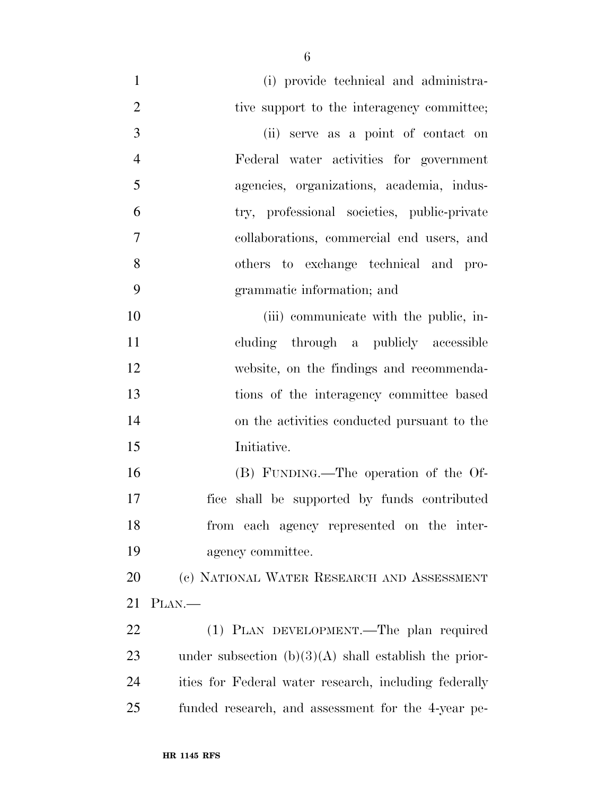| $\mathbf{1}$   | (i) provide technical and administra-                   |
|----------------|---------------------------------------------------------|
| $\overline{2}$ | tive support to the interagency committee;              |
| 3              | (ii) serve as a point of contact on                     |
| $\overline{4}$ | Federal water activities for government                 |
| 5              | agencies, organizations, academia, indus-               |
| 6              | try, professional societies, public-private             |
| 7              | collaborations, commercial end users, and               |
| 8              | others to exchange technical and pro-                   |
| 9              | grammatic information; and                              |
| 10             | (iii) communicate with the public, in-                  |
| 11             | cluding through a publicly accessible                   |
| 12             | website, on the findings and recommenda-                |
| 13             | tions of the interagency committee based                |
| 14             | on the activities conducted pursuant to the             |
| 15             | Initiative.                                             |
| 16             | (B) FUNDING.—The operation of the Of-                   |
| 17             | fice shall be supported by funds contributed            |
| 18             | from each agency represented on the inter-              |
| 19             | agency committee.                                       |
| 20             | (c) NATIONAL WATER RESEARCH AND ASSESSMENT              |
| 21             | PLAN.—                                                  |
| 22             | (1) PLAN DEVELOPMENT.—The plan required                 |
| 23             | under subsection $(b)(3)(A)$ shall establish the prior- |
| 24             | ities for Federal water research, including federally   |
| 25             | funded research, and assessment for the 4-year pe-      |
|                |                                                         |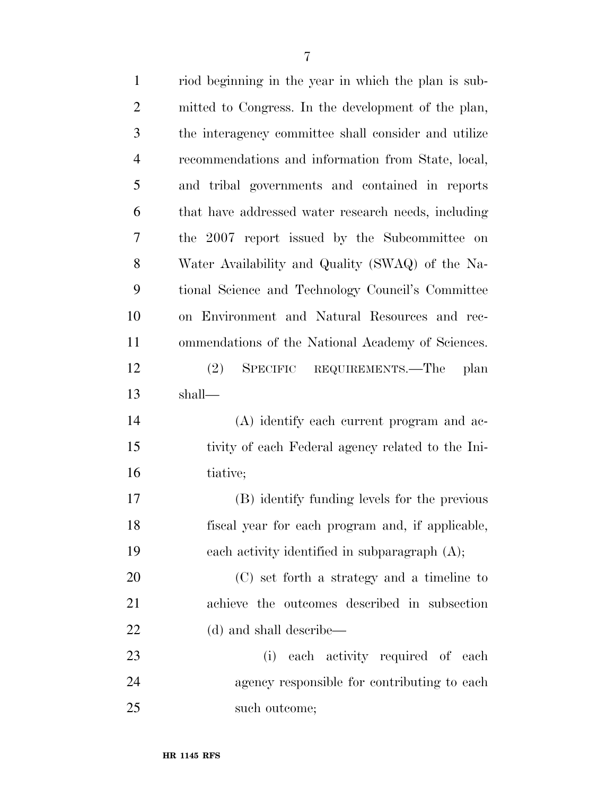| $\mathbf{1}$   | riod beginning in the year in which the plan is sub- |
|----------------|------------------------------------------------------|
| $\overline{2}$ | mitted to Congress. In the development of the plan,  |
| 3              | the interagency committee shall consider and utilize |
| $\overline{4}$ | recommendations and information from State, local,   |
| 5              | and tribal governments and contained in reports      |
| 6              | that have addressed water research needs, including  |
| 7              | the 2007 report issued by the Subcommittee on        |
| 8              | Water Availability and Quality (SWAQ) of the Na-     |
| 9              | tional Science and Technology Council's Committee    |
| 10             | on Environment and Natural Resources and rec-        |
| 11             | ommendations of the National Academy of Sciences.    |
| 12             | SPECIFIC REQUIREMENTS.—The plan<br>(2)               |
| 13             | shall—                                               |
| 14             | (A) identify each current program and ac-            |
| 15             | tivity of each Federal agency related to the Ini-    |
| 16             | tiative;                                             |
| 17             | (B) identify funding levels for the previous         |
| 18             | fiscal year for each program and, if applicable,     |
| 19             | each activity identified in subparagraph $(A)$ ;     |
| 20             | (C) set forth a strategy and a timeline to           |
| 21             | achieve the outcomes described in subsection         |
| 22             | (d) and shall describe—                              |
| 23             | each activity required of each<br>(i)                |
| 24             | agency responsible for contributing to each          |
| 25             | such outcome;                                        |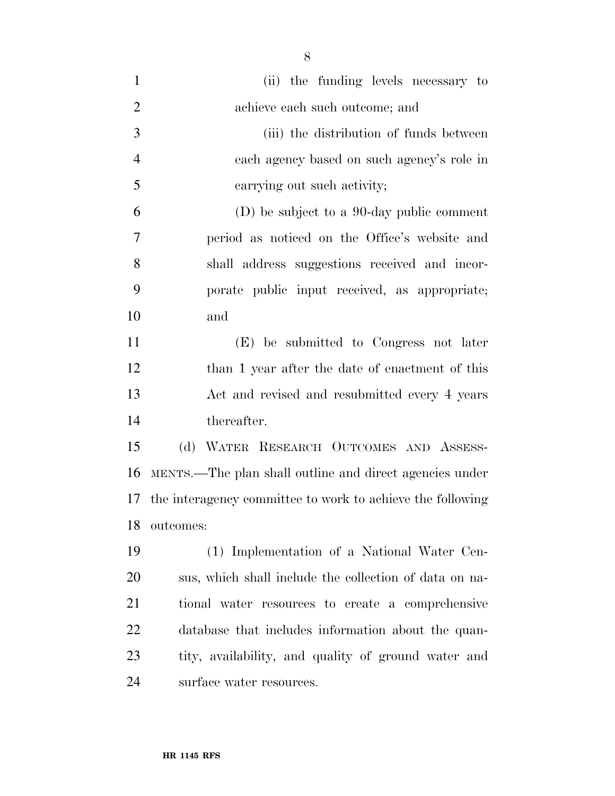| $\mathbf{1}$   | (ii) the funding levels necessary to                       |
|----------------|------------------------------------------------------------|
| $\overline{2}$ | achieve each such outcome; and                             |
| 3              | (iii) the distribution of funds between                    |
| $\overline{4}$ | each agency based on such agency's role in                 |
| 5              | carrying out such activity;                                |
| 6              | (D) be subject to a 90-day public comment                  |
| 7              | period as noticed on the Office's website and              |
| 8              | shall address suggestions received and incor-              |
| 9              | porate public input received, as appropriate;              |
| 10             | and                                                        |
| 11             | (E) be submitted to Congress not later                     |
| 12             | than 1 year after the date of enactment of this            |
| 13             | Act and revised and resubmitted every 4 years              |
| 14             | thereafter.                                                |
| 15             | (d) WATER RESEARCH OUTCOMES AND ASSESS-                    |
| 16             | MENTS.—The plan shall outline and direct agencies under    |
| 17             | the interagency committee to work to achieve the following |
| 18             | outcomes:                                                  |
| 19             | (1) Implementation of a National Water Cen-                |
| 20             | sus, which shall include the collection of data on na-     |
| 21             | tional water resources to create a comprehensive           |
| 22             | database that includes information about the quan-         |
| 23             | tity, availability, and quality of ground water and        |
| 24             | surface water resources.                                   |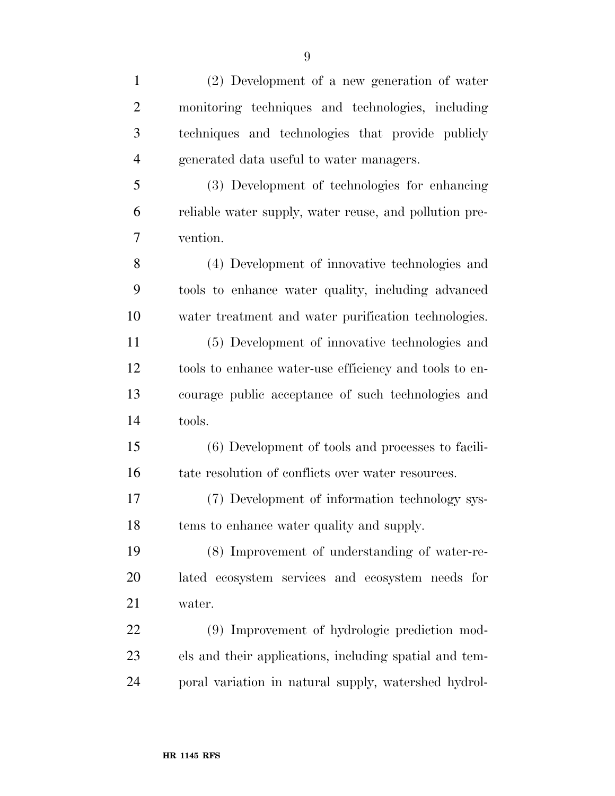| $\mathbf{1}$   | (2) Development of a new generation of water           |
|----------------|--------------------------------------------------------|
| $\overline{2}$ | monitoring techniques and technologies, including      |
| 3              | techniques and technologies that provide publicly      |
| $\overline{4}$ | generated data useful to water managers.               |
| 5              | (3) Development of technologies for enhancing          |
| 6              | reliable water supply, water reuse, and pollution pre- |
| 7              | vention.                                               |
| 8              | (4) Development of innovative technologies and         |
| 9              | tools to enhance water quality, including advanced     |
| 10             | water treatment and water purification technologies.   |
| 11             | (5) Development of innovative technologies and         |
| 12             | tools to enhance water-use efficiency and tools to en- |
| 13             | courage public acceptance of such technologies and     |
| 14             | tools.                                                 |
| 15             | (6) Development of tools and processes to facili-      |
| 16             | tate resolution of conflicts over water resources.     |
| 17             | (7) Development of information technology sys-         |
| 18             | tems to enhance water quality and supply.              |
| 19             | (8) Improvement of understanding of water-re-          |
| 20             | lated ecosystem services and ecosystem needs for       |
| 21             | water.                                                 |
| 22             | (9) Improvement of hydrologic prediction mod-          |
| 23             | els and their applications, including spatial and tem- |
| 24             | poral variation in natural supply, watershed hydrol-   |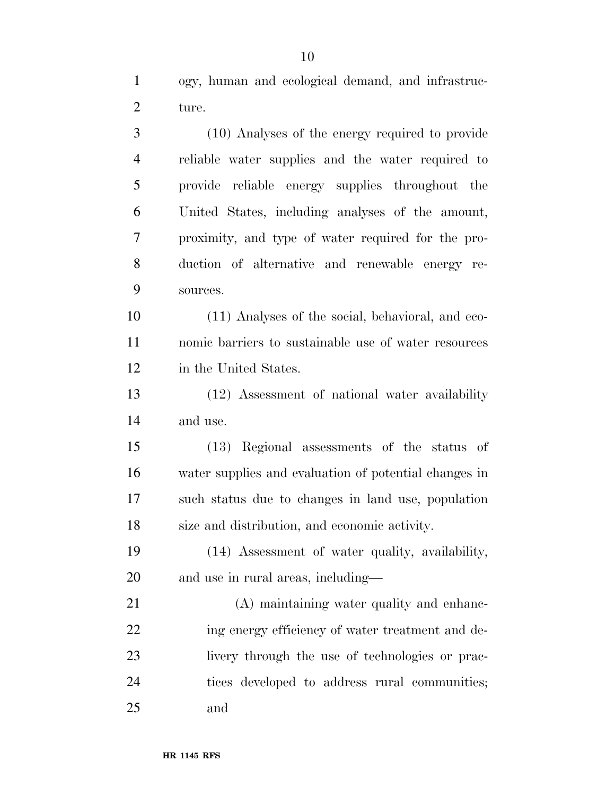ogy, human and ecological demand, and infrastruc-ture.

 (10) Analyses of the energy required to provide reliable water supplies and the water required to provide reliable energy supplies throughout the United States, including analyses of the amount, proximity, and type of water required for the pro- duction of alternative and renewable energy re-sources.

 (11) Analyses of the social, behavioral, and eco- nomic barriers to sustainable use of water resources in the United States.

 (12) Assessment of national water availability and use.

 (13) Regional assessments of the status of water supplies and evaluation of potential changes in such status due to changes in land use, population size and distribution, and economic activity.

 (14) Assessment of water quality, availability, and use in rural areas, including—

 (A) maintaining water quality and enhanc-22 ing energy efficiency of water treatment and de- livery through the use of technologies or prac- tices developed to address rural communities; and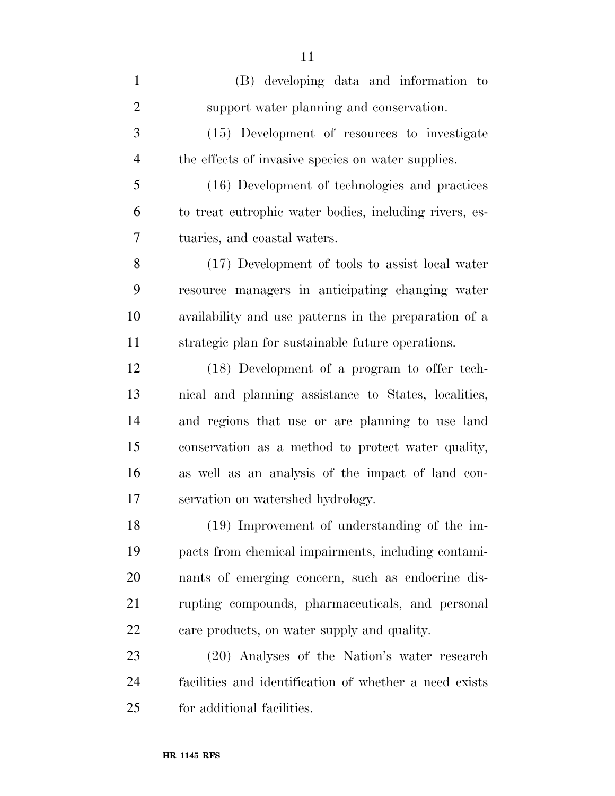| $\mathbf{1}$   | (B) developing data and information to                 |
|----------------|--------------------------------------------------------|
| $\overline{2}$ | support water planning and conservation.               |
| 3              | (15) Development of resources to investigate           |
| $\overline{4}$ | the effects of invasive species on water supplies.     |
| 5              | (16) Development of technologies and practices         |
| 6              | to treat eutrophic water bodies, including rivers, es- |
| 7              | tuaries, and coastal waters.                           |
| 8              | (17) Development of tools to assist local water        |
| 9              | resource managers in anticipating changing water       |
| 10             | availability and use patterns in the preparation of a  |
| 11             | strategic plan for sustainable future operations.      |
| 12             | (18) Development of a program to offer tech-           |
| 13             | nical and planning assistance to States, localities,   |
| 14             | and regions that use or are planning to use land       |
| 15             | conservation as a method to protect water quality,     |
| 16             | as well as an analysis of the impact of land con-      |
| 17             | servation on watershed hydrology.                      |
| 18             | $(19)$ Improvement of understanding of the im-         |
| 19             | pacts from chemical impairments, including contami-    |
| 20             | nants of emerging concern, such as endocrine dis-      |
| 21             | rupting compounds, pharmaceuticals, and personal       |
| 22             | care products, on water supply and quality.            |
| 23             | (20) Analyses of the Nation's water research           |
| 24             | facilities and identification of whether a need exists |
| 25             | for additional facilities.                             |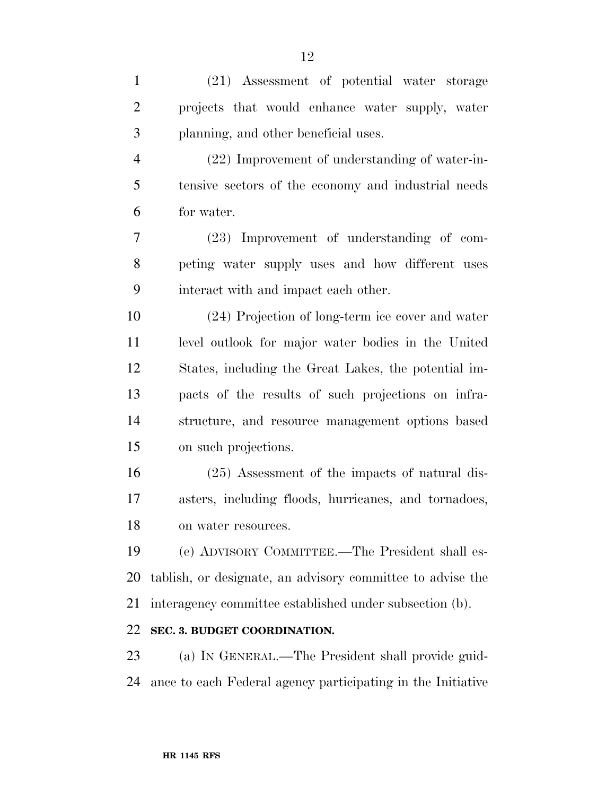| $\mathbf{1}$   | (21) Assessment of potential water storage                  |
|----------------|-------------------------------------------------------------|
| $\overline{2}$ | projects that would enhance water supply, water             |
| 3              | planning, and other beneficial uses.                        |
| $\overline{4}$ | (22) Improvement of understanding of water-in-              |
| 5              | tensive sectors of the economy and industrial needs         |
| 6              | for water.                                                  |
| 7              | (23) Improvement of understanding of com-                   |
| 8              | peting water supply uses and how different uses             |
| 9              | interact with and impact each other.                        |
| 10             | (24) Projection of long-term ice cover and water            |
| 11             | level outlook for major water bodies in the United          |
| 12             | States, including the Great Lakes, the potential im-        |
| 13             | pacts of the results of such projections on infra-          |
| 14             | structure, and resource management options based            |
| 15             | on such projections.                                        |
| 16             | $(25)$ Assessment of the impacts of natural dis-            |
| 17             | asters, including floods, hurricanes, and tornadoes,        |
| 18             | on water resources.                                         |
| 19             | (e) ADVISORY COMMITTEE.—The President shall es-             |
| 20             | tablish, or designate, an advisory committee to advise the  |
| 21             | interagency committee established under subsection (b).     |
| 22             | SEC. 3. BUDGET COORDINATION.                                |
| 23             | (a) IN GENERAL.—The President shall provide guid-           |
| 24             | ance to each Federal agency participating in the Initiative |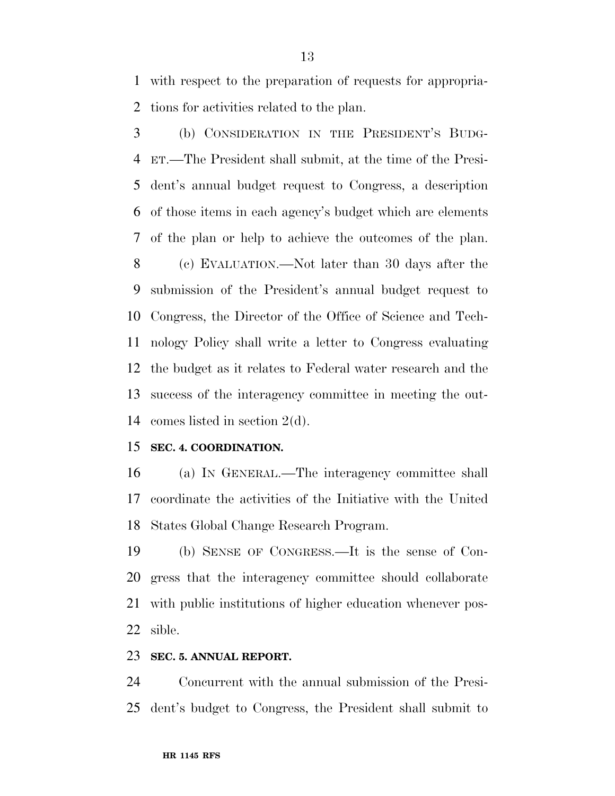with respect to the preparation of requests for appropria-tions for activities related to the plan.

 (b) CONSIDERATION IN THE PRESIDENT'S BUDG- ET.—The President shall submit, at the time of the Presi- dent's annual budget request to Congress, a description of those items in each agency's budget which are elements of the plan or help to achieve the outcomes of the plan. (c) EVALUATION.—Not later than 30 days after the submission of the President's annual budget request to Congress, the Director of the Office of Science and Tech- nology Policy shall write a letter to Congress evaluating the budget as it relates to Federal water research and the success of the interagency committee in meeting the out-comes listed in section 2(d).

### **SEC. 4. COORDINATION.**

 (a) IN GENERAL.—The interagency committee shall coordinate the activities of the Initiative with the United States Global Change Research Program.

 (b) SENSE OF CONGRESS.—It is the sense of Con- gress that the interagency committee should collaborate with public institutions of higher education whenever pos-sible.

#### **SEC. 5. ANNUAL REPORT.**

 Concurrent with the annual submission of the Presi-dent's budget to Congress, the President shall submit to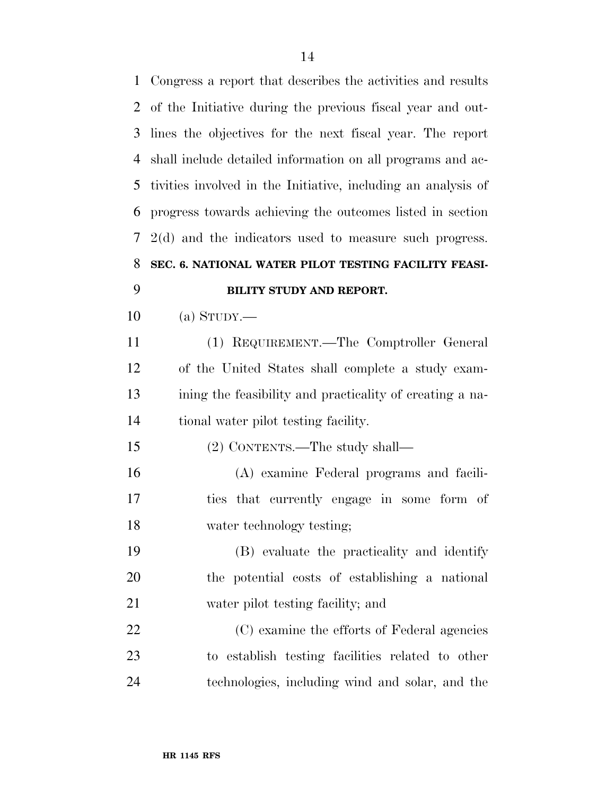Congress a report that describes the activities and results of the Initiative during the previous fiscal year and out- lines the objectives for the next fiscal year. The report shall include detailed information on all programs and ac- tivities involved in the Initiative, including an analysis of progress towards achieving the outcomes listed in section 2(d) and the indicators used to measure such progress. **SEC. 6. NATIONAL WATER PILOT TESTING FACILITY FEASI- BILITY STUDY AND REPORT.**  (a) STUDY.— (1) REQUIREMENT.—The Comptroller General of the United States shall complete a study exam- ining the feasibility and practicality of creating a na- tional water pilot testing facility. (2) CONTENTS.—The study shall— (A) examine Federal programs and facili- ties that currently engage in some form of water technology testing; (B) evaluate the practicality and identify the potential costs of establishing a national

 (C) examine the efforts of Federal agencies to establish testing facilities related to other technologies, including wind and solar, and the

water pilot testing facility; and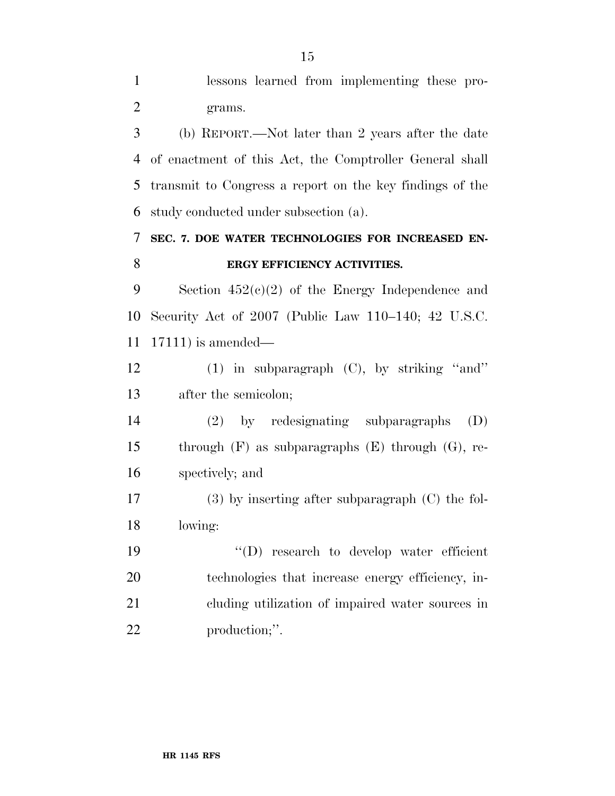lessons learned from implementing these pro-grams.

 (b) REPORT.—Not later than 2 years after the date of enactment of this Act, the Comptroller General shall transmit to Congress a report on the key findings of the study conducted under subsection (a).

### **SEC. 7. DOE WATER TECHNOLOGIES FOR INCREASED EN-ERGY EFFICIENCY ACTIVITIES.**

9 Section  $452(e)(2)$  of the Energy Independence and Security Act of 2007 (Public Law 110–140; 42 U.S.C. 17111) is amended—

 (1) in subparagraph (C), by striking ''and'' after the semicolon;

 (2) by redesignating subparagraphs (D) through (F) as subparagraphs (E) through (G), re-spectively; and

 (3) by inserting after subparagraph (C) the fol-lowing:

 ''(D) research to develop water efficient technologies that increase energy efficiency, in- cluding utilization of impaired water sources in production;''.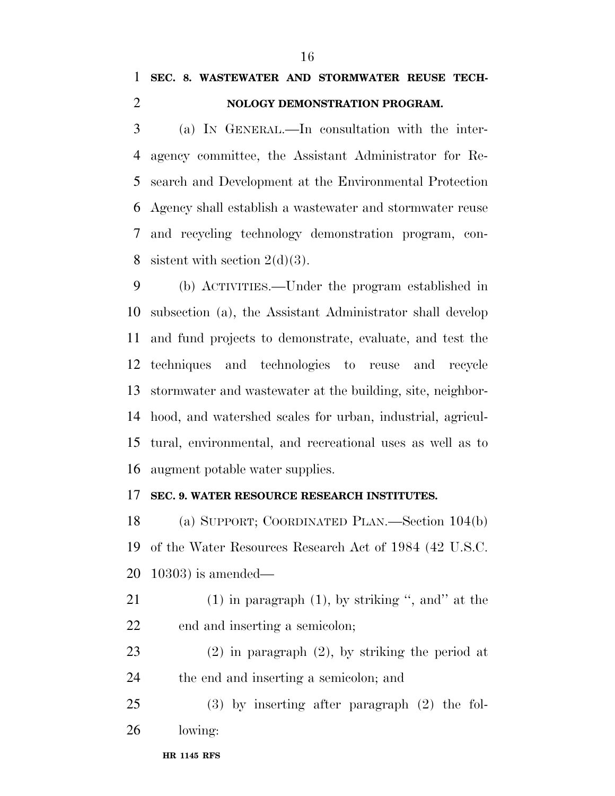### **SEC. 8. WASTEWATER AND STORMWATER REUSE TECH-NOLOGY DEMONSTRATION PROGRAM.**

 (a) IN GENERAL.—In consultation with the inter- agency committee, the Assistant Administrator for Re- search and Development at the Environmental Protection Agency shall establish a wastewater and stormwater reuse and recycling technology demonstration program, con-8 sistent with section  $2(d)(3)$ .

 (b) ACTIVITIES.—Under the program established in subsection (a), the Assistant Administrator shall develop and fund projects to demonstrate, evaluate, and test the techniques and technologies to reuse and recycle stormwater and wastewater at the building, site, neighbor- hood, and watershed scales for urban, industrial, agricul- tural, environmental, and recreational uses as well as to augment potable water supplies.

### **SEC. 9. WATER RESOURCE RESEARCH INSTITUTES.**

 (a) SUPPORT; COORDINATED PLAN.—Section 104(b) of the Water Resources Research Act of 1984 (42 U.S.C. 10303) is amended—

- 21 (1) in paragraph  $(1)$ , by striking ", and" at the end and inserting a semicolon;
- (2) in paragraph (2), by striking the period at the end and inserting a semicolon; and
- (3) by inserting after paragraph (2) the fol-lowing: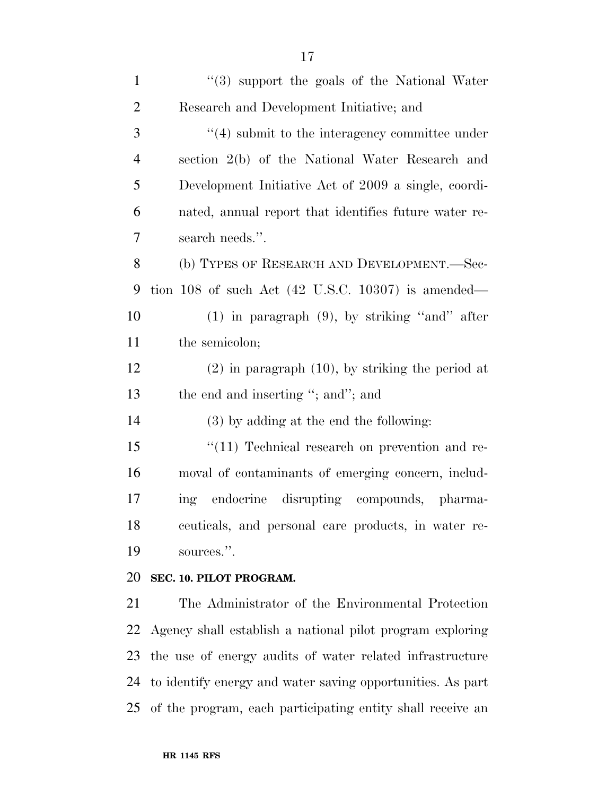| $\mathbf{1}$   | $(3)$ support the goals of the National Water                 |
|----------------|---------------------------------------------------------------|
| $\overline{2}$ | Research and Development Initiative; and                      |
| 3              | $"(4)$ submit to the interagency committee under              |
| $\overline{4}$ | section 2(b) of the National Water Research and               |
| 5              | Development Initiative Act of 2009 a single, coordi-          |
| 6              | nated, annual report that identifies future water re-         |
| $\overline{7}$ | search needs.".                                               |
| 8              | (b) TYPES OF RESEARCH AND DEVELOPMENT.-Sec-                   |
| 9              | tion 108 of such Act $(42 \text{ U.S.C. } 10307)$ is amended— |
| 10             | $(1)$ in paragraph $(9)$ , by striking "and" after            |
| 11             | the semicolon;                                                |
| 12             | $(2)$ in paragraph $(10)$ , by striking the period at         |
| 13             | the end and inserting "; and"; and                            |
| 14             | $(3)$ by adding at the end the following:                     |
| 15             | "(11) Technical research on prevention and re-                |
| 16             | moval of contaminants of emerging concern, includ-            |
| $17\,$         | ing endocrine disrupting compounds, pharma-                   |
| 18             | ceuticals, and personal care products, in water re-           |
| 19             | sources.".                                                    |
| 20             | SEC. 10. PILOT PROGRAM.                                       |
| 21             | The Administrator of the Environmental Protection             |
| 22             | Agency shall establish a national pilot program exploring     |
| 23             | the use of energy audits of water related infrastructure      |
| 24             | to identify energy and water saving opportunities. As part    |
| 25             | of the program, each participating entity shall receive an    |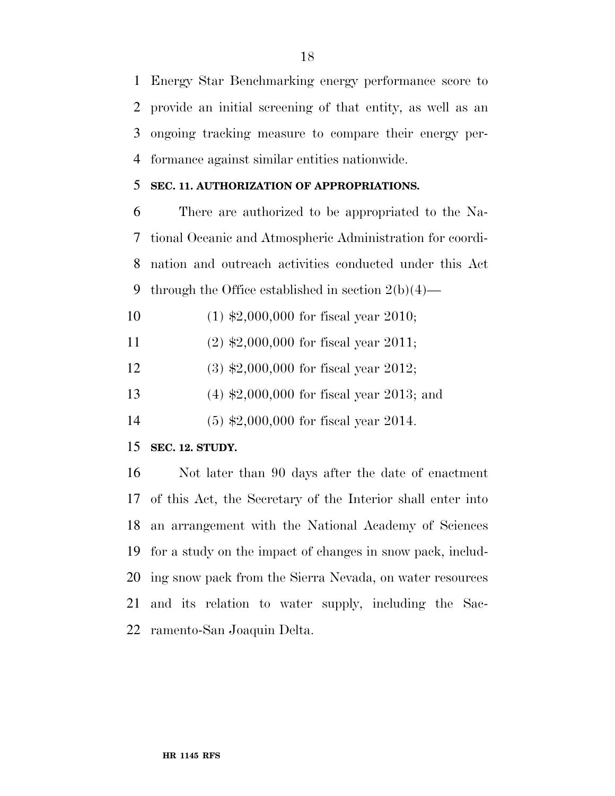Energy Star Benchmarking energy performance score to provide an initial screening of that entity, as well as an ongoing tracking measure to compare their energy per-formance against similar entities nationwide.

### **SEC. 11. AUTHORIZATION OF APPROPRIATIONS.**

 There are authorized to be appropriated to the Na- tional Oceanic and Atmospheric Administration for coordi- nation and outreach activities conducted under this Act 9 through the Office established in section  $2(b)(4)$ —

- (1) \$2,000,000 for fiscal year 2010;
- (2) \$2,000,000 for fiscal year 2011;
- (3) \$2,000,000 for fiscal year 2012;
- (4) \$2,000,000 for fiscal year 2013; and
- (5) \$2,000,000 for fiscal year 2014.

### **SEC. 12. STUDY.**

 Not later than 90 days after the date of enactment of this Act, the Secretary of the Interior shall enter into an arrangement with the National Academy of Sciences for a study on the impact of changes in snow pack, includ- ing snow pack from the Sierra Nevada, on water resources and its relation to water supply, including the Sac-ramento-San Joaquin Delta.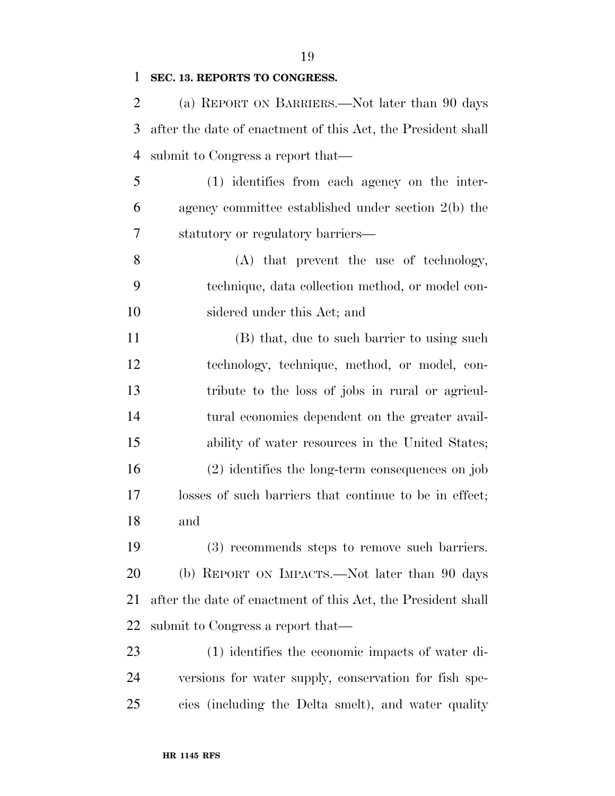#### **SEC. 13. REPORTS TO CONGRESS.**

 (a) REPORT ON BARRIERS.—Not later than 90 days after the date of enactment of this Act, the President shall submit to Congress a report that—

 (1) identifies from each agency on the inter- agency committee established under section 2(b) the statutory or regulatory barriers—

 (A) that prevent the use of technology, technique, data collection method, or model con-sidered under this Act; and

11 (B) that, due to such barrier to using such technology, technique, method, or model, con- tribute to the loss of jobs in rural or agricul- tural economies dependent on the greater avail- ability of water resources in the United States; (2) identifies the long-term consequences on job losses of such barriers that continue to be in effect; and

 (3) recommends steps to remove such barriers. (b) REPORT ON IMPACTS.—Not later than 90 days after the date of enactment of this Act, the President shall submit to Congress a report that—

 (1) identifies the economic impacts of water di- versions for water supply, conservation for fish spe-cies (including the Delta smelt), and water quality